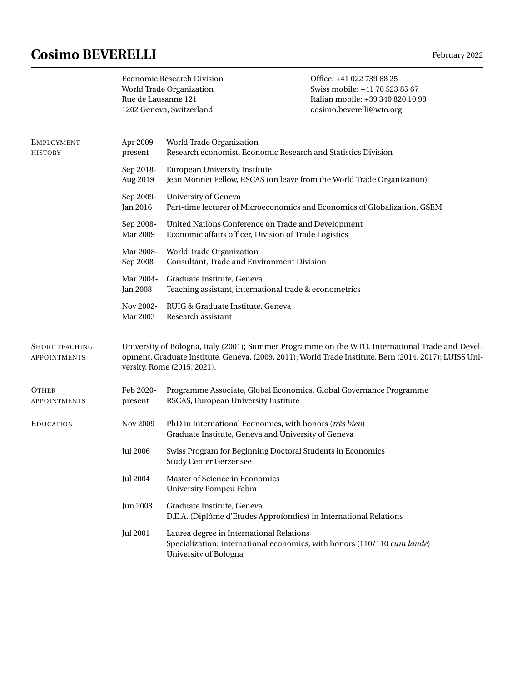## **Cosimo BEVERELLI** February 2022

|                                              | Rue de Lausanne 121                                                                                                                                                                                                                       | <b>Economic Research Division</b><br>World Trade Organization<br>1202 Geneva, Switzerland                                                     | Office: +41 022 739 68 25<br>Swiss mobile: +41 76 523 85 67<br>Italian mobile: +39 340 820 10 98<br>cosimo.beverelli@wto.org |
|----------------------------------------------|-------------------------------------------------------------------------------------------------------------------------------------------------------------------------------------------------------------------------------------------|-----------------------------------------------------------------------------------------------------------------------------------------------|------------------------------------------------------------------------------------------------------------------------------|
| <b>EMPLOYMENT</b><br><b>HISTORY</b>          | Apr 2009-<br>present                                                                                                                                                                                                                      | World Trade Organization<br>Research economist, Economic Research and Statistics Division                                                     |                                                                                                                              |
|                                              | Sep 2018-<br>Aug 2019                                                                                                                                                                                                                     | <b>European University Institute</b><br>Jean Monnet Fellow, RSCAS (on leave from the World Trade Organization)                                |                                                                                                                              |
|                                              | Sep 2009-<br>Jan 2016                                                                                                                                                                                                                     | University of Geneva<br>Part-time lecturer of Microeconomics and Economics of Globalization, GSEM                                             |                                                                                                                              |
|                                              | Sep 2008-<br>Mar 2009                                                                                                                                                                                                                     | United Nations Conference on Trade and Development<br>Economic affairs officer, Division of Trade Logistics                                   |                                                                                                                              |
|                                              | Mar 2008-<br>Sep 2008                                                                                                                                                                                                                     | World Trade Organization<br>Consultant, Trade and Environment Division                                                                        |                                                                                                                              |
|                                              | Mar 2004-<br>Jan 2008                                                                                                                                                                                                                     | Graduate Institute, Geneva<br>Teaching assistant, international trade & econometrics                                                          |                                                                                                                              |
|                                              | Nov 2002-<br>Mar 2003                                                                                                                                                                                                                     | RUIG & Graduate Institute, Geneva<br>Research assistant                                                                                       |                                                                                                                              |
| <b>SHORT TEACHING</b><br><b>APPOINTMENTS</b> | University of Bologna, Italy (2001); Summer Programme on the WTO, International Trade and Devel-<br>opment, Graduate Institute, Geneva, (2009, 2011); World Trade Institute, Bern (2014, 2017); LUISS Uni-<br>versity, Rome (2015, 2021). |                                                                                                                                               |                                                                                                                              |
| <b>OTHER</b><br><b>APPOINTMENTS</b>          | Feb 2020-<br>present                                                                                                                                                                                                                      | Programme Associate, Global Economics, Global Governance Programme<br>RSCAS, European University Institute                                    |                                                                                                                              |
| <b>EDUCATION</b>                             | <b>Nov 2009</b>                                                                                                                                                                                                                           | PhD in International Economics, with honors (très bien)<br>Graduate Institute, Geneva and University of Geneva                                |                                                                                                                              |
|                                              | <b>Jul 2006</b>                                                                                                                                                                                                                           | Swiss Program for Beginning Doctoral Students in Economics<br><b>Study Center Gerzensee</b>                                                   |                                                                                                                              |
|                                              | <b>Jul 2004</b>                                                                                                                                                                                                                           | Master of Science in Economics<br>University Pompeu Fabra                                                                                     |                                                                                                                              |
|                                              | <b>Jun 2003</b>                                                                                                                                                                                                                           | Graduate Institute, Geneva<br>D.E.A. (Diplôme d'Etudes Approfondies) in International Relations                                               |                                                                                                                              |
|                                              | <b>Jul 2001</b>                                                                                                                                                                                                                           | Laurea degree in International Relations<br>Specialization: international economics, with honors (110/110 cum laude)<br>University of Bologna |                                                                                                                              |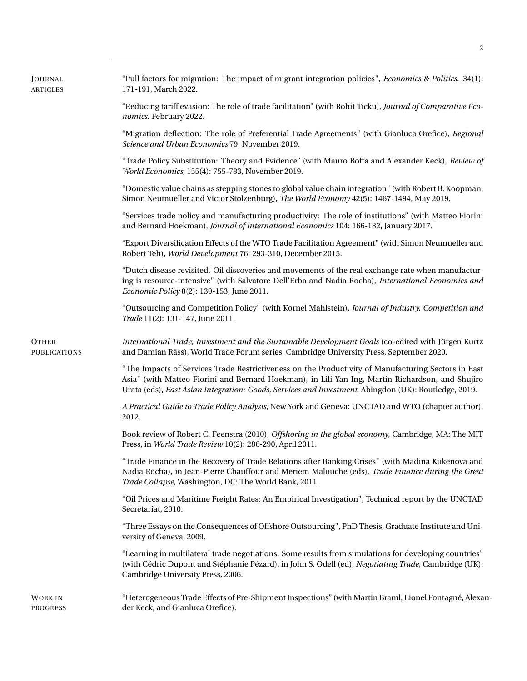| JOURNAL<br><b>ARTICLES</b>          | "Pull factors for migration: The impact of migrant integration policies", Economics & Politics. 34(1):<br>171-191, March 2022.                                                                                                                                                                                  |  |  |
|-------------------------------------|-----------------------------------------------------------------------------------------------------------------------------------------------------------------------------------------------------------------------------------------------------------------------------------------------------------------|--|--|
|                                     | "Reducing tariff evasion: The role of trade facilitation" (with Rohit Ticku), Journal of Comparative Eco-<br>nomics. February 2022.                                                                                                                                                                             |  |  |
|                                     | "Migration deflection: The role of Preferential Trade Agreements" (with Gianluca Orefice), Regional<br>Science and Urban Economics 79. November 2019.                                                                                                                                                           |  |  |
|                                     | "Trade Policy Substitution: Theory and Evidence" (with Mauro Boffa and Alexander Keck), Review of<br>World Economics, 155(4): 755-783, November 2019.                                                                                                                                                           |  |  |
|                                     | "Domestic value chains as stepping stones to global value chain integration" (with Robert B. Koopman,<br>Simon Neumueller and Victor Stolzenburg), The World Economy 42(5): 1467-1494, May 2019.                                                                                                                |  |  |
|                                     | "Services trade policy and manufacturing productivity: The role of institutions" (with Matteo Fiorini<br>and Bernard Hoekman), Journal of International Economics 104: 166-182, January 2017.                                                                                                                   |  |  |
|                                     | "Export Diversification Effects of the WTO Trade Facilitation Agreement" (with Simon Neumueller and<br>Robert Teh), World Development 76: 293-310, December 2015.                                                                                                                                               |  |  |
|                                     | "Dutch disease revisited. Oil discoveries and movements of the real exchange rate when manufactur-<br>ing is resource-intensive" (with Salvatore Dell'Erba and Nadia Rocha), International Economics and<br>Economic Policy 8(2): 139-153, June 2011.                                                           |  |  |
|                                     | "Outsourcing and Competition Policy" (with Kornel Mahlstein), Journal of Industry, Competition and<br>Trade 11(2): 131-147, June 2011.                                                                                                                                                                          |  |  |
| <b>OTHER</b><br><b>PUBLICATIONS</b> | International Trade, Investment and the Sustainable Development Goals (co-edited with Jürgen Kurtz<br>and Damian Räss), World Trade Forum series, Cambridge University Press, September 2020.                                                                                                                   |  |  |
|                                     | "The Impacts of Services Trade Restrictiveness on the Productivity of Manufacturing Sectors in East<br>Asia" (with Matteo Fiorini and Bernard Hoekman), in Lili Yan Ing, Martin Richardson, and Shujiro<br>Urata (eds), East Asian Integration: Goods, Services and Investment, Abingdon (UK): Routledge, 2019. |  |  |
|                                     | A Practical Guide to Trade Policy Analysis, New York and Geneva: UNCTAD and WTO (chapter author),<br>2012.                                                                                                                                                                                                      |  |  |
|                                     | Book review of Robert C. Feenstra (2010), Offshoring in the global economy, Cambridge, MA: The MIT<br>Press, in World Trade Review 10(2): 286-290, April 2011.                                                                                                                                                  |  |  |
|                                     | "Trade Finance in the Recovery of Trade Relations after Banking Crises" (with Madina Kukenova and<br>Nadia Rocha), in Jean-Pierre Chauffour and Meriem Malouche (eds), Trade Finance during the Great<br>Trade Collapse, Washington, DC: The World Bank, 2011.                                                  |  |  |
|                                     | "Oil Prices and Maritime Freight Rates: An Empirical Investigation", Technical report by the UNCTAD<br>Secretariat, 2010.                                                                                                                                                                                       |  |  |
|                                     | "Three Essays on the Consequences of Offshore Outsourcing", PhD Thesis, Graduate Institute and Uni-<br>versity of Geneva, 2009.                                                                                                                                                                                 |  |  |
|                                     | "Learning in multilateral trade negotiations: Some results from simulations for developing countries"<br>(with Cédric Dupont and Stéphanie Pézard), in John S. Odell (ed), Negotiating Trade, Cambridge (UK):<br>Cambridge University Press, 2006.                                                              |  |  |
| <b>WORK IN</b><br><b>PROGRESS</b>   | "Heterogeneous Trade Effects of Pre-Shipment Inspections" (with Martin Braml, Lionel Fontagné, Alexan-<br>der Keck, and Gianluca Orefice).                                                                                                                                                                      |  |  |